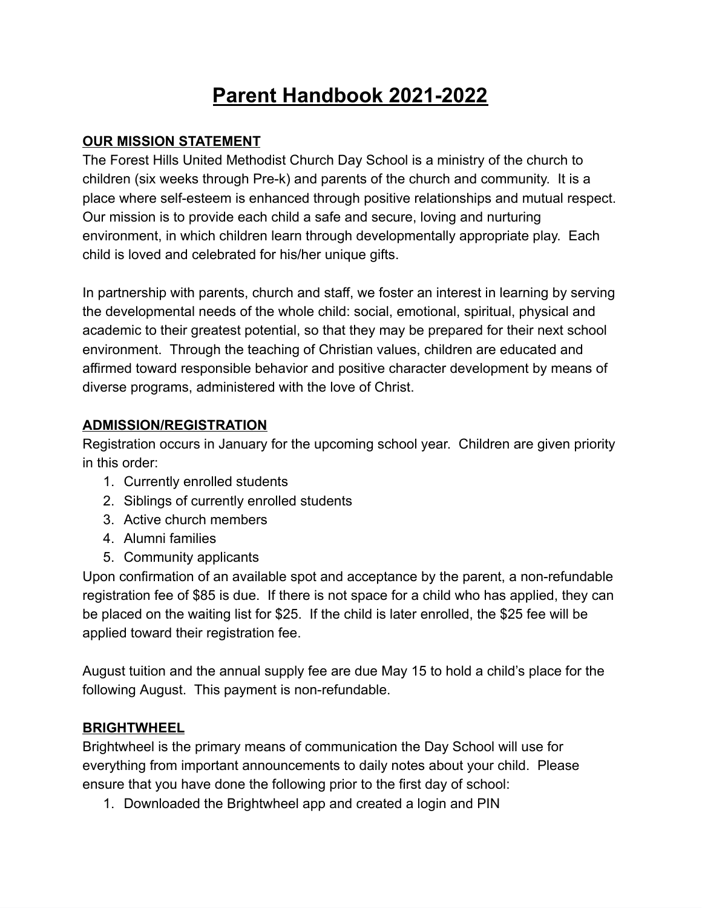# **Parent Handbook 2021-2022**

#### **OUR MISSION STATEMENT**

The Forest Hills United Methodist Church Day School is a ministry of the church to children (six weeks through Pre-k) and parents of the church and community. It is a place where self-esteem is enhanced through positive relationships and mutual respect. Our mission is to provide each child a safe and secure, loving and nurturing environment, in which children learn through developmentally appropriate play. Each child is loved and celebrated for his/her unique gifts.

In partnership with parents, church and staff, we foster an interest in learning by serving the developmental needs of the whole child: social, emotional, spiritual, physical and academic to their greatest potential, so that they may be prepared for their next school environment. Through the teaching of Christian values, children are educated and affirmed toward responsible behavior and positive character development by means of diverse programs, administered with the love of Christ.

#### **ADMISSION/REGISTRATION**

Registration occurs in January for the upcoming school year. Children are given priority in this order:

- 1. Currently enrolled students
- 2. Siblings of currently enrolled students
- 3. Active church members
- 4. Alumni families
- 5. Community applicants

Upon confirmation of an available spot and acceptance by the parent, a non-refundable registration fee of \$85 is due. If there is not space for a child who has applied, they can be placed on the waiting list for \$25. If the child is later enrolled, the \$25 fee will be applied toward their registration fee.

August tuition and the annual supply fee are due May 15 to hold a child's place for the following August. This payment is non-refundable.

## **BRIGHTWHEEL**

Brightwheel is the primary means of communication the Day School will use for everything from important announcements to daily notes about your child. Please ensure that you have done the following prior to the first day of school:

1. Downloaded the Brightwheel app and created a login and PIN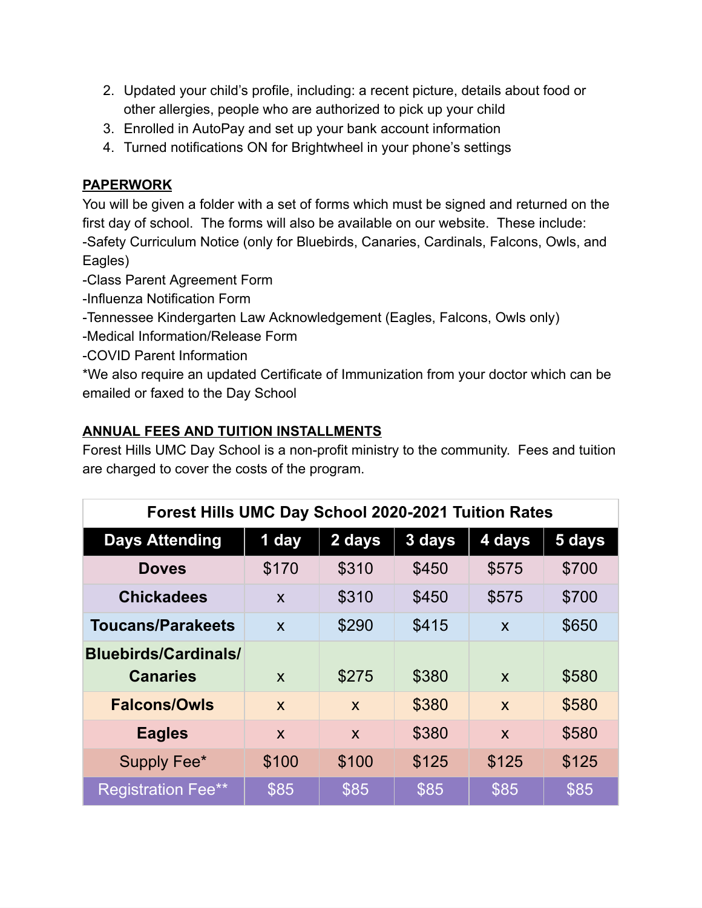- 2. Updated your child's profile, including: a recent picture, details about food or other allergies, people who are authorized to pick up your child
- 3. Enrolled in AutoPay and set up your bank account information
- 4. Turned notifications ON for Brightwheel in your phone's settings

# **PAPERWORK**

You will be given a folder with a set of forms which must be signed and returned on the first day of school. The forms will also be available on our website. These include: -Safety Curriculum Notice (only for Bluebirds, Canaries, Cardinals, Falcons, Owls, and Eagles)

- -Class Parent Agreement Form
- -Influenza Notification Form
- -Tennessee Kindergarten Law Acknowledgement (Eagles, Falcons, Owls only)
- -Medical Information/Release Form
- -COVID Parent Information

\*We also require an updated Certificate of Immunization from your doctor which can be emailed or faxed to the Day School

# **ANNUAL FEES AND TUITION INSTALLMENTS**

Forest Hills UMC Day School is a non-profit ministry to the community. Fees and tuition are charged to cover the costs of the program.

| Forest Hills UMC Day School 2020-2021 Tuition Rates |                           |                           |        |                           |        |
|-----------------------------------------------------|---------------------------|---------------------------|--------|---------------------------|--------|
| <b>Days Attending</b>                               | 1 day                     | 2 days                    | 3 days | 4 days                    | 5 days |
| <b>Doves</b>                                        | \$170                     | \$310                     | \$450  | \$575                     | \$700  |
| <b>Chickadees</b>                                   | X                         | \$310                     | \$450  | \$575                     | \$700  |
| <b>Toucans/Parakeets</b>                            | $\boldsymbol{\mathsf{X}}$ | \$290                     | \$415  | $\mathsf{x}$              | \$650  |
| <b>Bluebirds/Cardinals/</b>                         |                           |                           |        |                           |        |
| <b>Canaries</b>                                     | X                         | \$275                     | \$380  | $\boldsymbol{\mathsf{X}}$ | \$580  |
| <b>Falcons/Owls</b>                                 | $\mathsf{x}$              | $\boldsymbol{\mathsf{X}}$ | \$380  | $\mathsf{x}$              | \$580  |
| <b>Eagles</b>                                       | X                         | X                         | \$380  | $\mathbf x$               | \$580  |
| Supply Fee*                                         | \$100                     | \$100                     | \$125  | \$125                     | \$125  |
| <b>Registration Fee**</b>                           | \$85                      | \$85                      | \$85   | \$85                      | \$85   |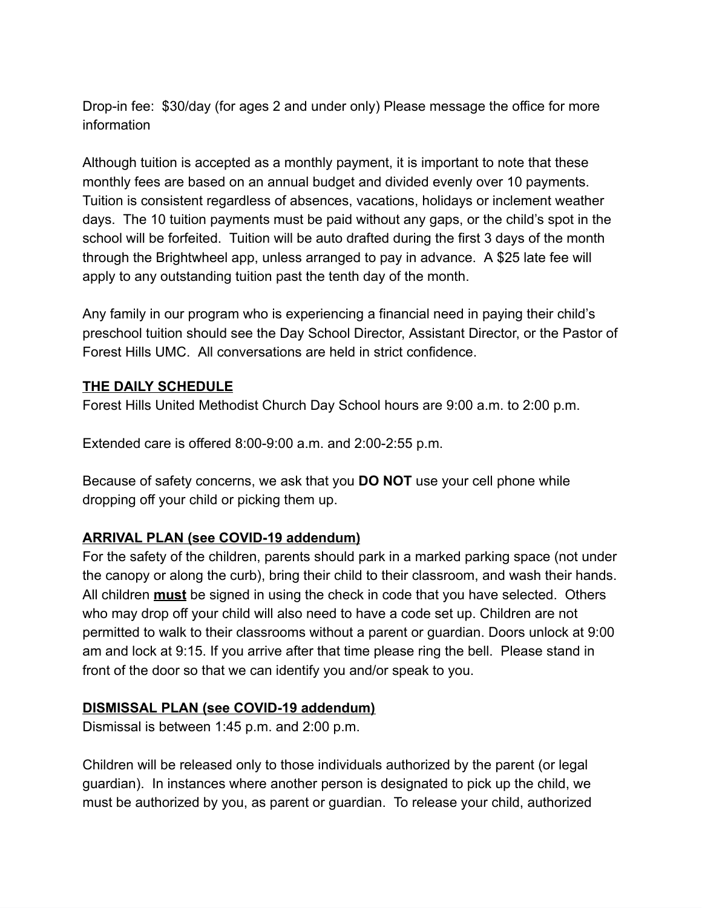Drop-in fee: \$30/day (for ages 2 and under only) Please message the office for more information

Although tuition is accepted as a monthly payment, it is important to note that these monthly fees are based on an annual budget and divided evenly over 10 payments. Tuition is consistent regardless of absences, vacations, holidays or inclement weather days. The 10 tuition payments must be paid without any gaps, or the child's spot in the school will be forfeited. Tuition will be auto drafted during the first 3 days of the month through the Brightwheel app, unless arranged to pay in advance. A \$25 late fee will apply to any outstanding tuition past the tenth day of the month.

Any family in our program who is experiencing a financial need in paying their child's preschool tuition should see the Day School Director, Assistant Director, or the Pastor of Forest Hills UMC. All conversations are held in strict confidence.

#### **THE DAILY SCHEDULE**

Forest Hills United Methodist Church Day School hours are 9:00 a.m. to 2:00 p.m.

Extended care is offered 8:00-9:00 a.m. and 2:00-2:55 p.m.

Because of safety concerns, we ask that you **DO NOT** use your cell phone while dropping off your child or picking them up.

#### **ARRIVAL PLAN (see COVID-19 addendum)**

For the safety of the children, parents should park in a marked parking space (not under the canopy or along the curb), bring their child to their classroom, and wash their hands. All children **must** be signed in using the check in code that you have selected. Others who may drop off your child will also need to have a code set up. Children are not permitted to walk to their classrooms without a parent or guardian. Doors unlock at 9:00 am and lock at 9:15. If you arrive after that time please ring the bell. Please stand in front of the door so that we can identify you and/or speak to you.

#### **DISMISSAL PLAN (see COVID-19 addendum)**

Dismissal is between 1:45 p.m. and 2:00 p.m.

Children will be released only to those individuals authorized by the parent (or legal guardian). In instances where another person is designated to pick up the child, we must be authorized by you, as parent or guardian. To release your child, authorized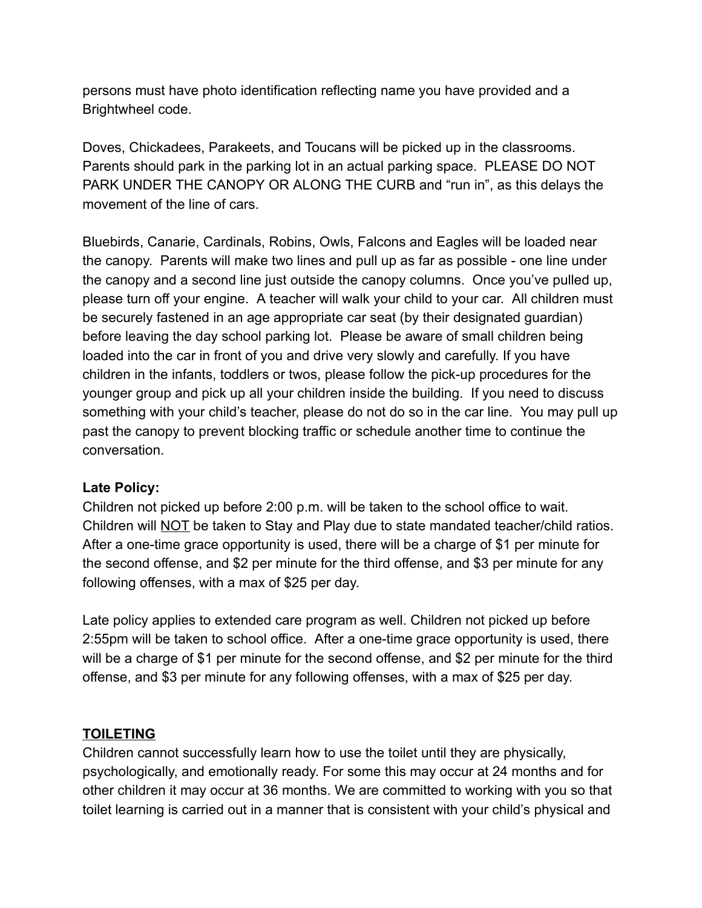persons must have photo identification reflecting name you have provided and a Brightwheel code.

Doves, Chickadees, Parakeets, and Toucans will be picked up in the classrooms. Parents should park in the parking lot in an actual parking space. PLEASE DO NOT PARK UNDER THE CANOPY OR ALONG THE CURB and "run in", as this delays the movement of the line of cars.

Bluebirds, Canarie, Cardinals, Robins, Owls, Falcons and Eagles will be loaded near the canopy. Parents will make two lines and pull up as far as possible - one line under the canopy and a second line just outside the canopy columns. Once you've pulled up, please turn off your engine. A teacher will walk your child to your car. All children must be securely fastened in an age appropriate car seat (by their designated guardian) before leaving the day school parking lot. Please be aware of small children being loaded into the car in front of you and drive very slowly and carefully. If you have children in the infants, toddlers or twos, please follow the pick-up procedures for the younger group and pick up all your children inside the building. If you need to discuss something with your child's teacher, please do not do so in the car line. You may pull up past the canopy to prevent blocking traffic or schedule another time to continue the conversation.

#### **Late Policy:**

Children not picked up before 2:00 p.m. will be taken to the school office to wait. Children will NOT be taken to Stay and Play due to state mandated teacher/child ratios. After a one-time grace opportunity is used, there will be a charge of \$1 per minute for the second offense, and \$2 per minute for the third offense, and \$3 per minute for any following offenses, with a max of \$25 per day.

Late policy applies to extended care program as well. Children not picked up before 2:55pm will be taken to school office. After a one-time grace opportunity is used, there will be a charge of \$1 per minute for the second offense, and \$2 per minute for the third offense, and \$3 per minute for any following offenses, with a max of \$25 per day.

#### **TOILETING**

Children cannot successfully learn how to use the toilet until they are physically, psychologically, and emotionally ready. For some this may occur at 24 months and for other children it may occur at 36 months. We are committed to working with you so that toilet learning is carried out in a manner that is consistent with your child's physical and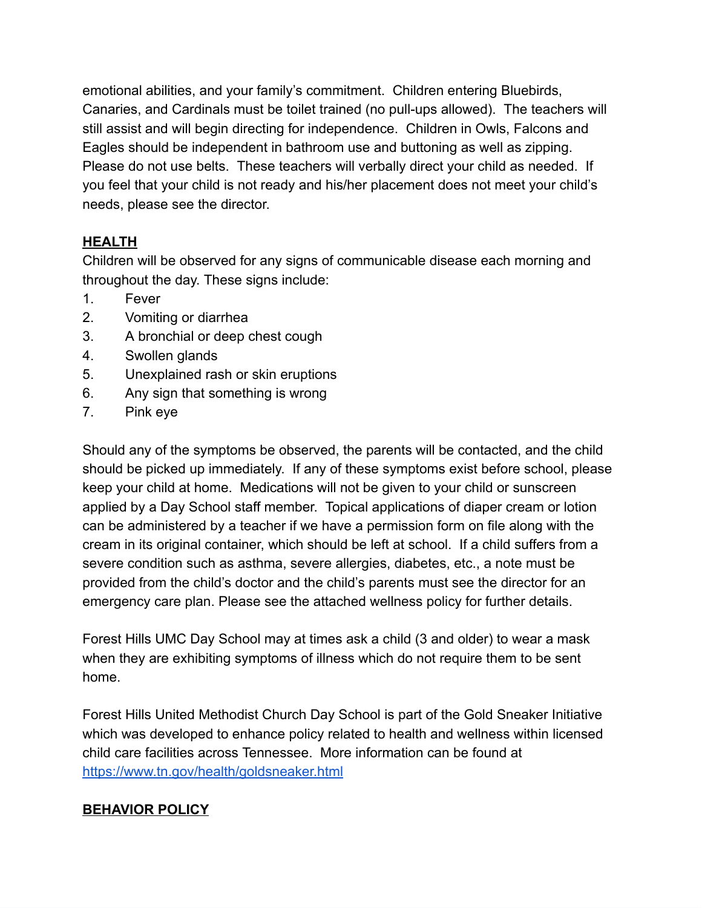emotional abilities, and your family's commitment. Children entering Bluebirds, Canaries, and Cardinals must be toilet trained (no pull-ups allowed). The teachers will still assist and will begin directing for independence. Children in Owls, Falcons and Eagles should be independent in bathroom use and buttoning as well as zipping. Please do not use belts. These teachers will verbally direct your child as needed. If you feel that your child is not ready and his/her placement does not meet your child's needs, please see the director.

## **HEALTH**

Children will be observed for any signs of communicable disease each morning and throughout the day. These signs include:

- 1. Fever
- 2. Vomiting or diarrhea
- 3. A bronchial or deep chest cough
- 4. Swollen glands
- 5. Unexplained rash or skin eruptions
- 6. Any sign that something is wrong
- 7. Pink eye

Should any of the symptoms be observed, the parents will be contacted, and the child should be picked up immediately. If any of these symptoms exist before school, please keep your child at home. Medications will not be given to your child or sunscreen applied by a Day School staff member. Topical applications of diaper cream or lotion can be administered by a teacher if we have a permission form on file along with the cream in its original container, which should be left at school. If a child suffers from a severe condition such as asthma, severe allergies, diabetes, etc., a note must be provided from the child's doctor and the child's parents must see the director for an emergency care plan. Please see the attached wellness policy for further details.

Forest Hills UMC Day School may at times ask a child (3 and older) to wear a mask when they are exhibiting symptoms of illness which do not require them to be sent home.

Forest Hills United Methodist Church Day School is part of the Gold Sneaker Initiative which was developed to enhance policy related to health and wellness within licensed child care facilities across Tennessee. More information can be found at <https://www.tn.gov/health/goldsneaker.html>

## **BEHAVIOR POLICY**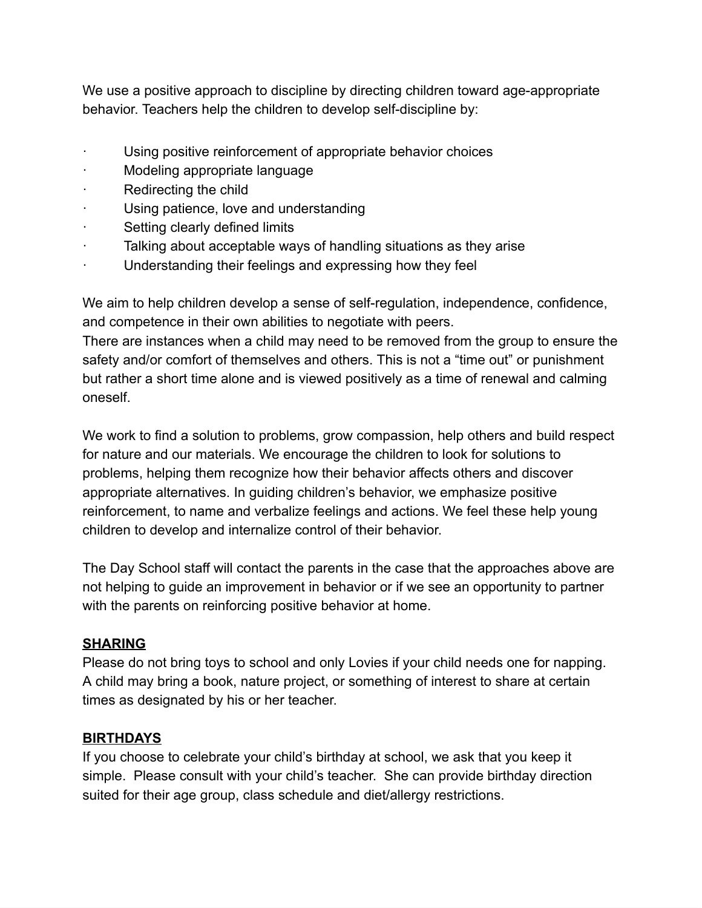We use a positive approach to discipline by directing children toward age-appropriate behavior. Teachers help the children to develop self-discipline by:

- Using positive reinforcement of appropriate behavior choices
- · Modeling appropriate language
- · Redirecting the child
- · Using patience, love and understanding
- · Setting clearly defined limits
- Talking about acceptable ways of handling situations as they arise
- · Understanding their feelings and expressing how they feel

We aim to help children develop a sense of self-regulation, independence, confidence, and competence in their own abilities to negotiate with peers.

There are instances when a child may need to be removed from the group to ensure the safety and/or comfort of themselves and others. This is not a "time out" or punishment but rather a short time alone and is viewed positively as a time of renewal and calming oneself.

We work to find a solution to problems, grow compassion, help others and build respect for nature and our materials. We encourage the children to look for solutions to problems, helping them recognize how their behavior affects others and discover appropriate alternatives. In guiding children's behavior, we emphasize positive reinforcement, to name and verbalize feelings and actions. We feel these help young children to develop and internalize control of their behavior.

The Day School staff will contact the parents in the case that the approaches above are not helping to guide an improvement in behavior or if we see an opportunity to partner with the parents on reinforcing positive behavior at home.

#### **SHARING**

Please do not bring toys to school and only Lovies if your child needs one for napping. A child may bring a book, nature project, or something of interest to share at certain times as designated by his or her teacher.

#### **BIRTHDAYS**

If you choose to celebrate your child's birthday at school, we ask that you keep it simple. Please consult with your child's teacher. She can provide birthday direction suited for their age group, class schedule and diet/allergy restrictions.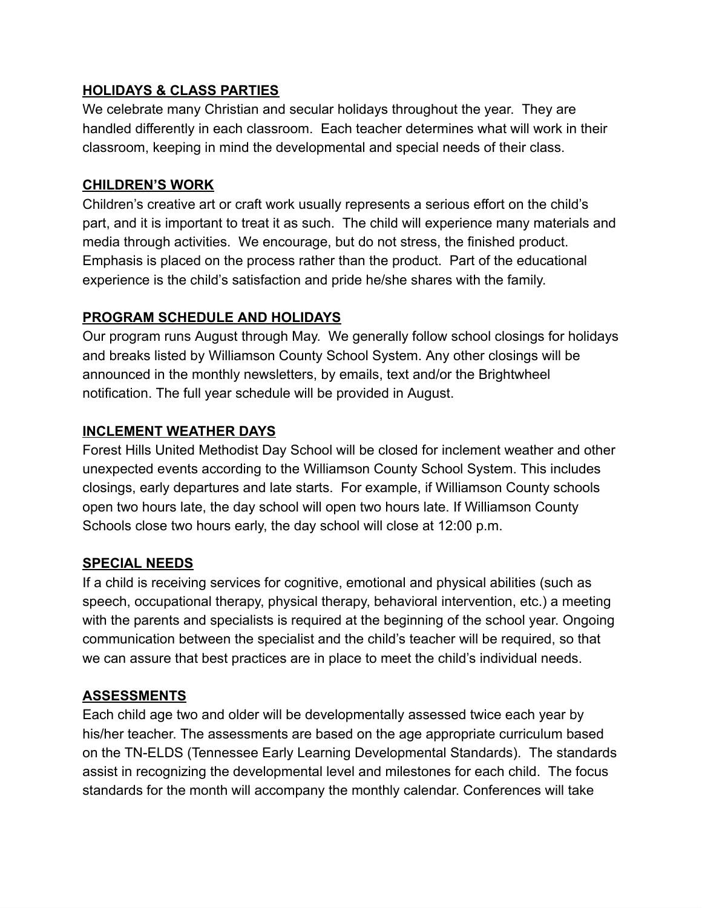#### **HOLIDAYS & CLASS PARTIES**

We celebrate many Christian and secular holidays throughout the year. They are handled differently in each classroom. Each teacher determines what will work in their classroom, keeping in mind the developmental and special needs of their class.

#### **CHILDREN'S WORK**

Children's creative art or craft work usually represents a serious effort on the child's part, and it is important to treat it as such. The child will experience many materials and media through activities. We encourage, but do not stress, the finished product. Emphasis is placed on the process rather than the product. Part of the educational experience is the child's satisfaction and pride he/she shares with the family.

#### **PROGRAM SCHEDULE AND HOLIDAYS**

Our program runs August through May. We generally follow school closings for holidays and breaks listed by Williamson County School System. Any other closings will be announced in the monthly newsletters, by emails, text and/or the Brightwheel notification. The full year schedule will be provided in August.

#### **INCLEMENT WEATHER DAYS**

Forest Hills United Methodist Day School will be closed for inclement weather and other unexpected events according to the Williamson County School System. This includes closings, early departures and late starts. For example, if Williamson County schools open two hours late, the day school will open two hours late. If Williamson County Schools close two hours early, the day school will close at 12:00 p.m.

## **SPECIAL NEEDS**

If a child is receiving services for cognitive, emotional and physical abilities (such as speech, occupational therapy, physical therapy, behavioral intervention, etc.) a meeting with the parents and specialists is required at the beginning of the school year. Ongoing communication between the specialist and the child's teacher will be required, so that we can assure that best practices are in place to meet the child's individual needs.

## **ASSESSMENTS**

Each child age two and older will be developmentally assessed twice each year by his/her teacher. The assessments are based on the age appropriate curriculum based on the TN-ELDS (Tennessee Early Learning Developmental Standards). The standards assist in recognizing the developmental level and milestones for each child. The focus standards for the month will accompany the monthly calendar. Conferences will take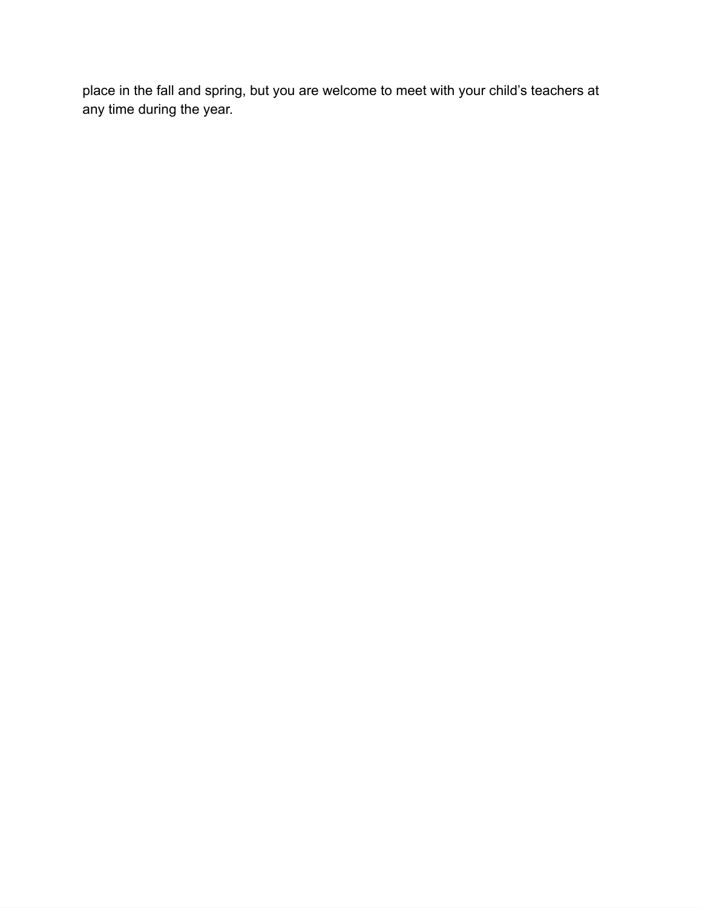place in the fall and spring, but you are welcome to meet with your child's teachers at any time during the year.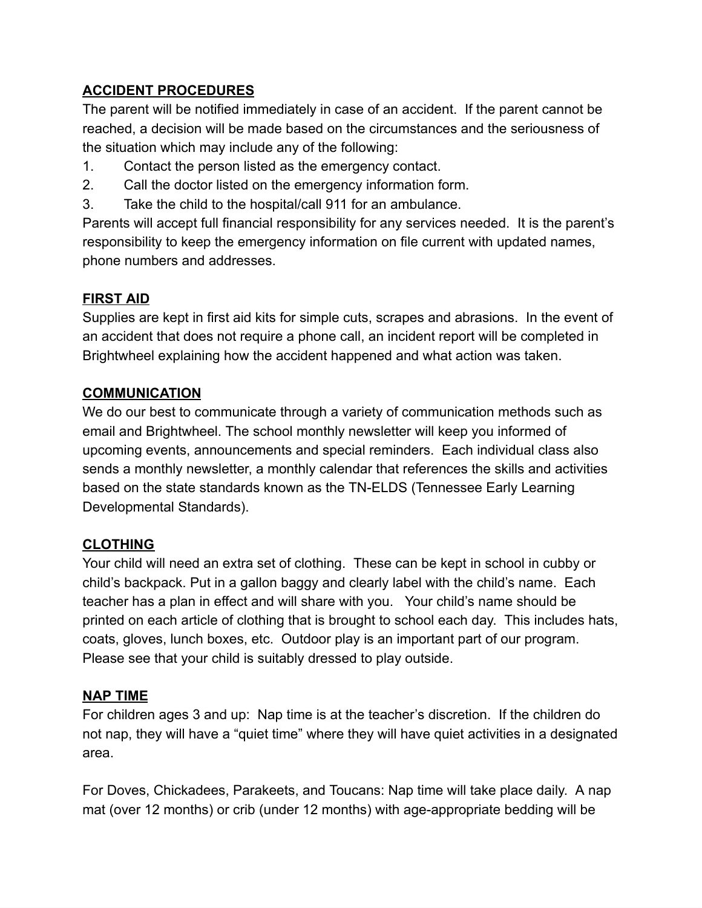## **ACCIDENT PROCEDURES**

The parent will be notified immediately in case of an accident. If the parent cannot be reached, a decision will be made based on the circumstances and the seriousness of the situation which may include any of the following:

- 1. Contact the person listed as the emergency contact.
- 2. Call the doctor listed on the emergency information form.
- 3. Take the child to the hospital/call 911 for an ambulance.

Parents will accept full financial responsibility for any services needed. It is the parent's responsibility to keep the emergency information on file current with updated names, phone numbers and addresses.

# **FIRST AID**

Supplies are kept in first aid kits for simple cuts, scrapes and abrasions. In the event of an accident that does not require a phone call, an incident report will be completed in Brightwheel explaining how the accident happened and what action was taken.

## **COMMUNICATION**

We do our best to communicate through a variety of communication methods such as email and Brightwheel. The school monthly newsletter will keep you informed of upcoming events, announcements and special reminders. Each individual class also sends a monthly newsletter, a monthly calendar that references the skills and activities based on the state standards known as the TN-ELDS (Tennessee Early Learning Developmental Standards).

## **CLOTHING**

Your child will need an extra set of clothing. These can be kept in school in cubby or child's backpack. Put in a gallon baggy and clearly label with the child's name. Each teacher has a plan in effect and will share with you. Your child's name should be printed on each article of clothing that is brought to school each day. This includes hats, coats, gloves, lunch boxes, etc. Outdoor play is an important part of our program. Please see that your child is suitably dressed to play outside.

## **NAP TIME**

For children ages 3 and up: Nap time is at the teacher's discretion. If the children do not nap, they will have a "quiet time" where they will have quiet activities in a designated area.

For Doves, Chickadees, Parakeets, and Toucans: Nap time will take place daily. A nap mat (over 12 months) or crib (under 12 months) with age-appropriate bedding will be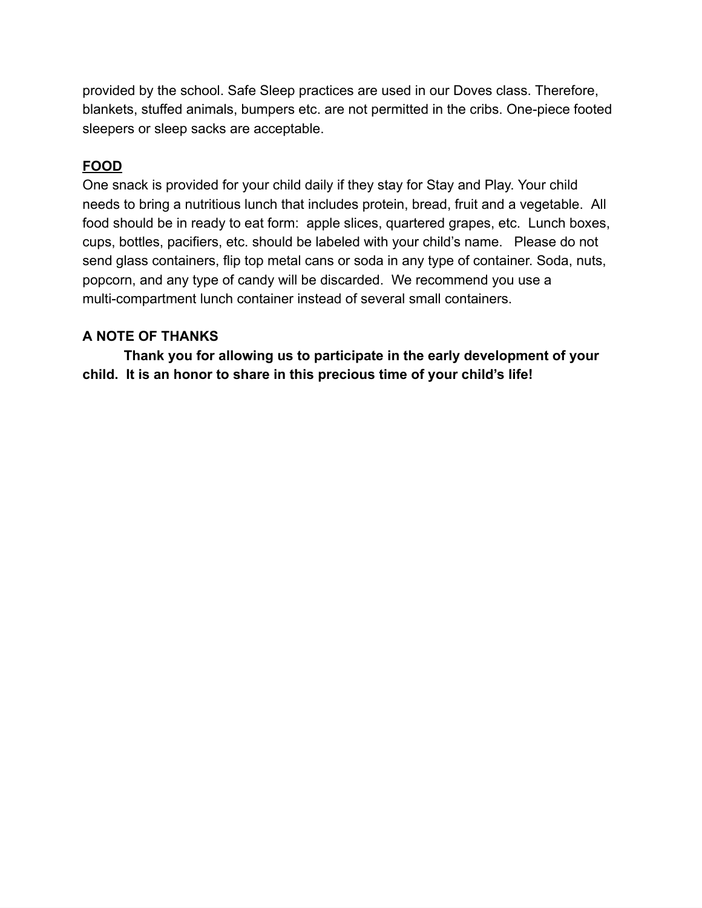provided by the school. Safe Sleep practices are used in our Doves class. Therefore, blankets, stuffed animals, bumpers etc. are not permitted in the cribs. One-piece footed sleepers or sleep sacks are acceptable.

## **FOOD**

One snack is provided for your child daily if they stay for Stay and Play. Your child needs to bring a nutritious lunch that includes protein, bread, fruit and a vegetable. All food should be in ready to eat form: apple slices, quartered grapes, etc. Lunch boxes, cups, bottles, pacifiers, etc. should be labeled with your child's name. Please do not send glass containers, flip top metal cans or soda in any type of container. Soda, nuts, popcorn, and any type of candy will be discarded. We recommend you use a multi-compartment lunch container instead of several small containers.

#### **A NOTE OF THANKS**

**Thank you for allowing us to participate in the early development of your child. It is an honor to share in this precious time of your child's life!**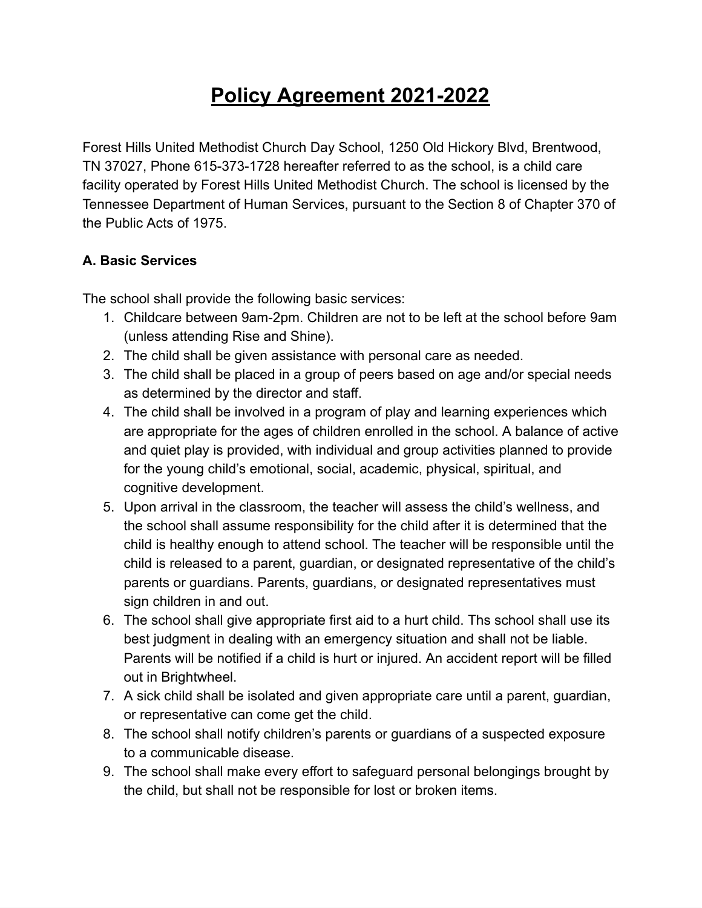# **Policy Agreement 2021-2022**

Forest Hills United Methodist Church Day School, 1250 Old Hickory Blvd, Brentwood, TN 37027, Phone 615-373-1728 hereafter referred to as the school, is a child care facility operated by Forest Hills United Methodist Church. The school is licensed by the Tennessee Department of Human Services, pursuant to the Section 8 of Chapter 370 of the Public Acts of 1975.

## **A. Basic Services**

The school shall provide the following basic services:

- 1. Childcare between 9am-2pm. Children are not to be left at the school before 9am (unless attending Rise and Shine).
- 2. The child shall be given assistance with personal care as needed.
- 3. The child shall be placed in a group of peers based on age and/or special needs as determined by the director and staff.
- 4. The child shall be involved in a program of play and learning experiences which are appropriate for the ages of children enrolled in the school. A balance of active and quiet play is provided, with individual and group activities planned to provide for the young child's emotional, social, academic, physical, spiritual, and cognitive development.
- 5. Upon arrival in the classroom, the teacher will assess the child's wellness, and the school shall assume responsibility for the child after it is determined that the child is healthy enough to attend school. The teacher will be responsible until the child is released to a parent, guardian, or designated representative of the child's parents or guardians. Parents, guardians, or designated representatives must sign children in and out.
- 6. The school shall give appropriate first aid to a hurt child. Ths school shall use its best judgment in dealing with an emergency situation and shall not be liable. Parents will be notified if a child is hurt or injured. An accident report will be filled out in Brightwheel.
- 7. A sick child shall be isolated and given appropriate care until a parent, guardian, or representative can come get the child.
- 8. The school shall notify children's parents or guardians of a suspected exposure to a communicable disease.
- 9. The school shall make every effort to safeguard personal belongings brought by the child, but shall not be responsible for lost or broken items.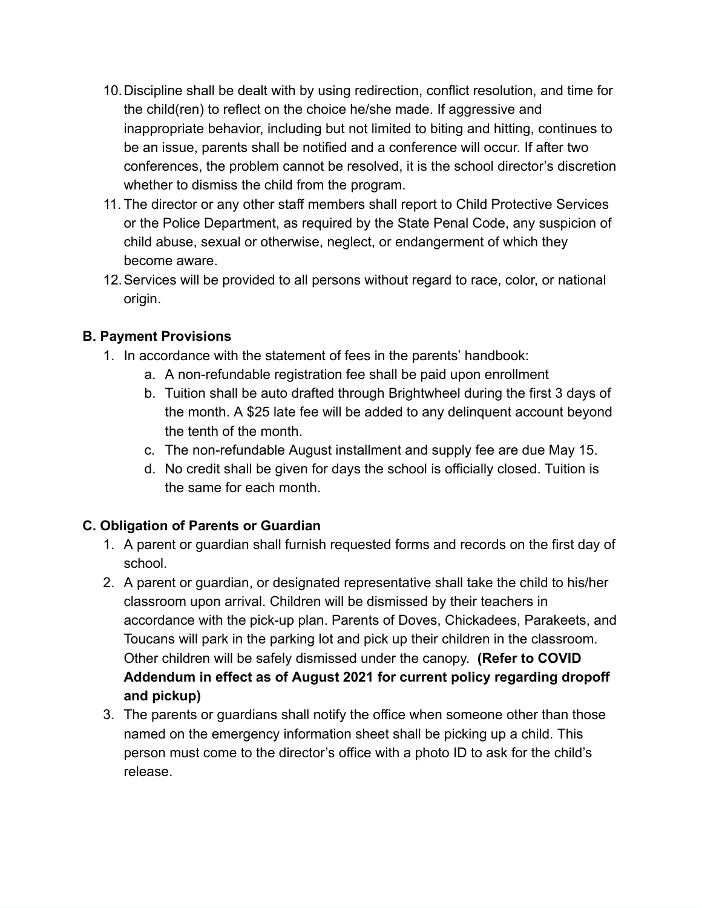- 10.Discipline shall be dealt with by using redirection, conflict resolution, and time for the child(ren) to reflect on the choice he/she made. If aggressive and inappropriate behavior, including but not limited to biting and hitting, continues to be an issue, parents shall be notified and a conference will occur. If after two conferences, the problem cannot be resolved, it is the school director's discretion whether to dismiss the child from the program.
- 11. The director or any other staff members shall report to Child Protective Services or the Police Department, as required by the State Penal Code, any suspicion of child abuse, sexual or otherwise, neglect, or endangerment of which they become aware.
- 12.Services will be provided to all persons without regard to race, color, or national origin.

## **B. Payment Provisions**

- 1. In accordance with the statement of fees in the parents' handbook:
	- a. A non-refundable registration fee shall be paid upon enrollment
	- b. Tuition shall be auto drafted through Brightwheel during the first 3 days of the month. A \$25 late fee will be added to any delinquent account beyond the tenth of the month.
	- c. The non-refundable August installment and supply fee are due May 15.
	- d. No credit shall be given for days the school is officially closed. Tuition is the same for each month.

# **C. Obligation of Parents or Guardian**

- 1. A parent or guardian shall furnish requested forms and records on the first day of school.
- 2. A parent or guardian, or designated representative shall take the child to his/her classroom upon arrival. Children will be dismissed by their teachers in accordance with the pick-up plan. Parents of Doves, Chickadees, Parakeets, and Toucans will park in the parking lot and pick up their children in the classroom. Other children will be safely dismissed under the canopy. **(Refer to COVID Addendum in effect as of August 2021 for current policy regarding dropoff and pickup)**
- 3. The parents or guardians shall notify the office when someone other than those named on the emergency information sheet shall be picking up a child. This person must come to the director's office with a photo ID to ask for the child's release.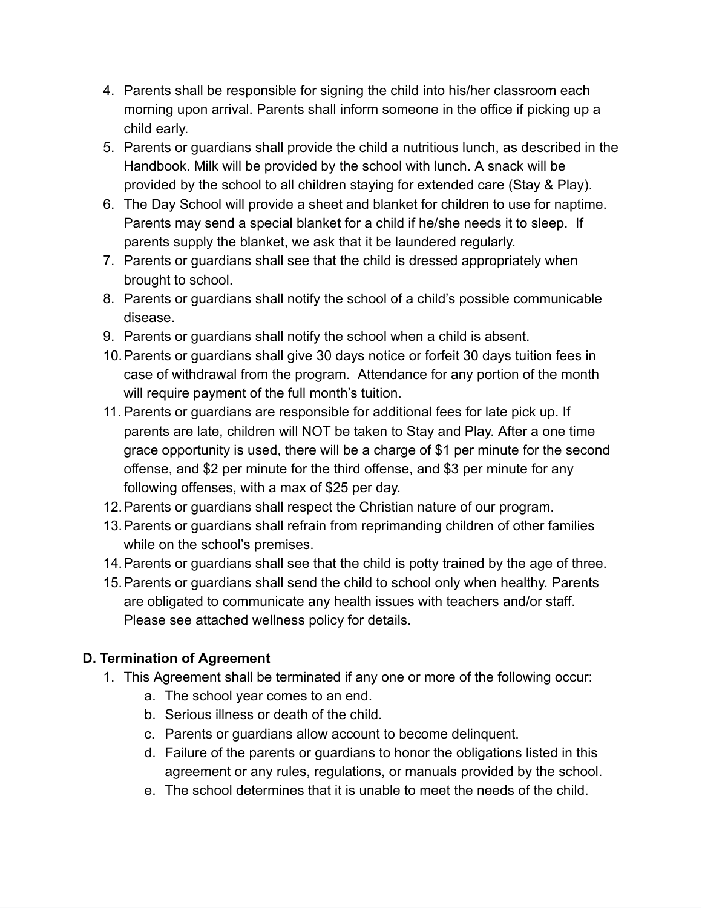- 4. Parents shall be responsible for signing the child into his/her classroom each morning upon arrival. Parents shall inform someone in the office if picking up a child early.
- 5. Parents or guardians shall provide the child a nutritious lunch, as described in the Handbook. Milk will be provided by the school with lunch. A snack will be provided by the school to all children staying for extended care (Stay & Play).
- 6. The Day School will provide a sheet and blanket for children to use for naptime. Parents may send a special blanket for a child if he/she needs it to sleep. If parents supply the blanket, we ask that it be laundered regularly.
- 7. Parents or guardians shall see that the child is dressed appropriately when brought to school.
- 8. Parents or guardians shall notify the school of a child's possible communicable disease.
- 9. Parents or guardians shall notify the school when a child is absent.
- 10.Parents or guardians shall give 30 days notice or forfeit 30 days tuition fees in case of withdrawal from the program. Attendance for any portion of the month will require payment of the full month's tuition.
- 11. Parents or guardians are responsible for additional fees for late pick up. If parents are late, children will NOT be taken to Stay and Play. After a one time grace opportunity is used, there will be a charge of \$1 per minute for the second offense, and \$2 per minute for the third offense, and \$3 per minute for any following offenses, with a max of \$25 per day.
- 12.Parents or guardians shall respect the Christian nature of our program.
- 13.Parents or guardians shall refrain from reprimanding children of other families while on the school's premises.
- 14.Parents or guardians shall see that the child is potty trained by the age of three.
- 15.Parents or guardians shall send the child to school only when healthy. Parents are obligated to communicate any health issues with teachers and/or staff. Please see attached wellness policy for details.

# **D. Termination of Agreement**

- 1. This Agreement shall be terminated if any one or more of the following occur:
	- a. The school year comes to an end.
	- b. Serious illness or death of the child.
	- c. Parents or guardians allow account to become delinquent.
	- d. Failure of the parents or guardians to honor the obligations listed in this agreement or any rules, regulations, or manuals provided by the school.
	- e. The school determines that it is unable to meet the needs of the child.